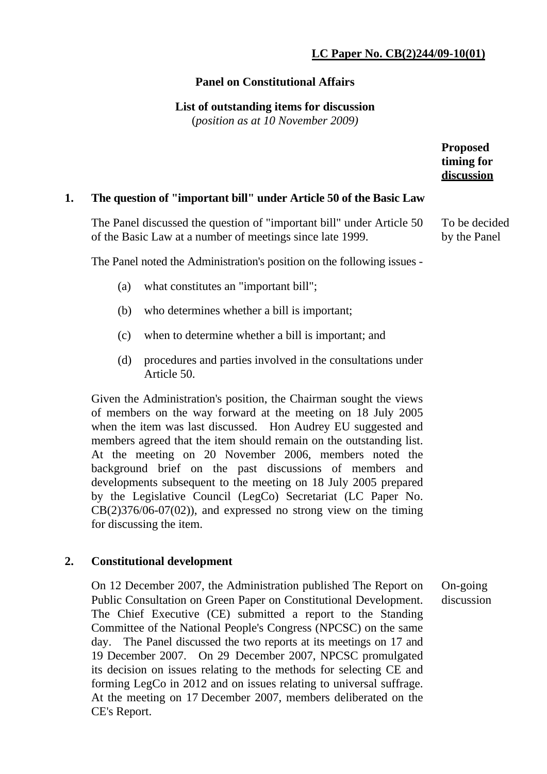# **LC Paper No. CB(2)244/09-10(01)**

To be decided by the Panel

### **Panel on Constitutional Affairs**

### **List of outstanding items for discussion**

(*position as at 10 November 2009)*

| <b>Proposed</b> |
|-----------------|
| timing for      |
| discussion      |

### **1. The question of "important bill" under Article 50 of the Basic Law**

 The Panel discussed the question of "important bill" under Article 50 of the Basic Law at a number of meetings since late 1999.

The Panel noted the Administration's position on the following issues -

- (a) what constitutes an "important bill";
- (b) who determines whether a bill is important;
- (c) when to determine whether a bill is important; and
- (d) procedures and parties involved in the consultations under Article 50.

Given the Administration's position, the Chairman sought the views of members on the way forward at the meeting on 18 July 2005 when the item was last discussed. Hon Audrey EU suggested and members agreed that the item should remain on the outstanding list. At the meeting on 20 November 2006, members noted the background brief on the past discussions of members and developments subsequent to the meeting on 18 July 2005 prepared by the Legislative Council (LegCo) Secretariat (LC Paper No.  $CB(2)376/06-07(02)$ , and expressed no strong view on the timing for discussing the item.

### **2. Constitutional development**

On 12 December 2007, the Administration published The Report on Public Consultation on Green Paper on Constitutional Development. The Chief Executive (CE) submitted a report to the Standing Committee of the National People's Congress (NPCSC) on the same day. The Panel discussed the two reports at its meetings on 17 and 19 December 2007. On 29 December 2007, NPCSC promulgated its decision on issues relating to the methods for selecting CE and forming LegCo in 2012 and on issues relating to universal suffrage. At the meeting on 17 December 2007, members deliberated on the CE's Report. On-going discussion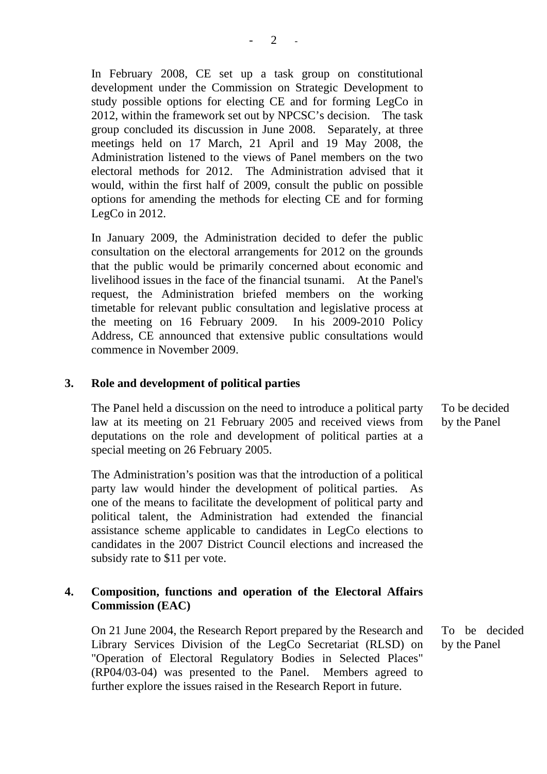In February 2008, CE set up a task group on constitutional development under the Commission on Strategic Development to study possible options for electing CE and for forming LegCo in 2012, within the framework set out by NPCSC's decision. The task group concluded its discussion in June 2008. Separately, at three meetings held on 17 March, 21 April and 19 May 2008, the Administration listened to the views of Panel members on the two electoral methods for 2012. The Administration advised that it would, within the first half of 2009, consult the public on possible options for amending the methods for electing CE and for forming LegCo in 2012.

In January 2009, the Administration decided to defer the public consultation on the electoral arrangements for 2012 on the grounds that the public would be primarily concerned about economic and livelihood issues in the face of the financial tsunami. At the Panel's request, the Administration briefed members on the working timetable for relevant public consultation and legislative process at the meeting on 16 February 2009. In his 2009-2010 Policy Address, CE announced that extensive public consultations would commence in November 2009.

#### **3. Role and development of political parties**

The Panel held a discussion on the need to introduce a political party law at its meeting on 21 February 2005 and received views from deputations on the role and development of political parties at a special meeting on 26 February 2005.

The Administration's position was that the introduction of a political party law would hinder the development of political parties. one of the means to facilitate the development of political party and political talent, the Administration had extended the financial assistance scheme applicable to candidates in LegCo elections to candidates in the 2007 District Council elections and increased the subsidy rate to \$11 per vote.

### **4. Composition, functions and operation of the Electoral Affairs Commission (EAC)**

On 21 June 2004, the Research Report prepared by the Research and Library Services Division of the LegCo Secretariat (RLSD) on "Operation of Electoral Regulatory Bodies in Selected Places" (RP04/03-04) was presented to the Panel. Members agreed to further explore the issues raised in the Research Report in future.

To be decided by the Panel

To be decided by the Panel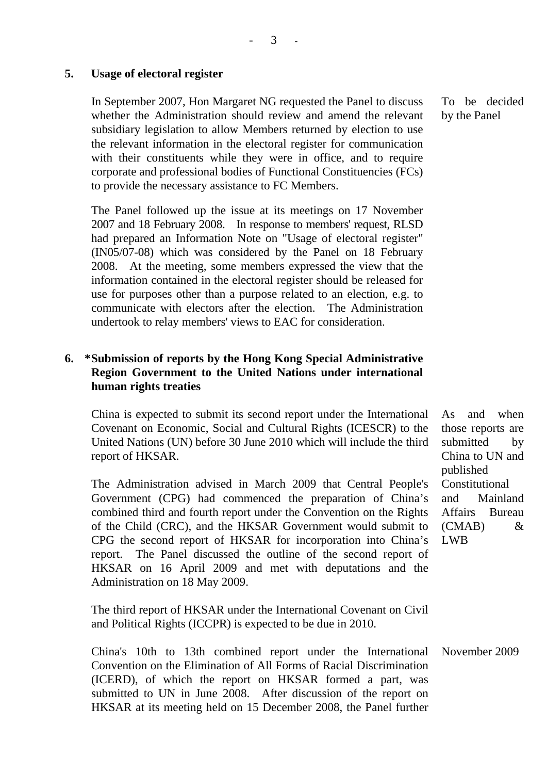### **5. Usage of electoral register**

In September 2007, Hon Margaret NG requested the Panel to discuss whether the Administration should review and amend the relevant subsidiary legislation to allow Members returned by election to use the relevant information in the electoral register for communication with their constituents while they were in office, and to require corporate and professional bodies of Functional Constituencies (FCs) to provide the necessary assistance to FC Members.

The Panel followed up the issue at its meetings on 17 November 2007 and 18 February 2008. In response to members' request, RLSD had prepared an Information Note on "Usage of electoral register" (IN05/07-08) which was considered by the Panel on 18 February 2008. At the meeting, some members expressed the view that the information contained in the electoral register should be released for use for purposes other than a purpose related to an election, e.g. to communicate with electors after the election. The Administration undertook to relay members' views to EAC for consideration.

## **6. \* Submission of reports by the Hong Kong Special Administrative Region Government to the United Nations under international human rights treaties**

China is expected to submit its second report under the International Covenant on Economic, Social and Cultural Rights (ICESCR) to the United Nations (UN) before 30 June 2010 which will include the third report of HKSAR.

The Administration advised in March 2009 that Central People's Government (CPG) had commenced the preparation of China's combined third and fourth report under the Convention on the Rights of the Child (CRC), and the HKSAR Government would submit to CPG the second report of HKSAR for incorporation into China's report. The Panel discussed the outline of the second report of HKSAR on 16 April 2009 and met with deputations and the Administration on 18 May 2009.

The third report of HKSAR under the International Covenant on Civil and Political Rights (ICCPR) is expected to be due in 2010.

China's 10th to 13th combined report under the International Convention on the Elimination of All Forms of Racial Discrimination (ICERD), of which the report on HKSAR formed a part, was submitted to UN in June 2008. After discussion of the report on HKSAR at its meeting held on 15 December 2008, the Panel further November 2009

To be decided by the Panel

As and when those reports are submitted by China to UN and published Constitutional and Mainland Affairs Bureau (CMAB) & LWB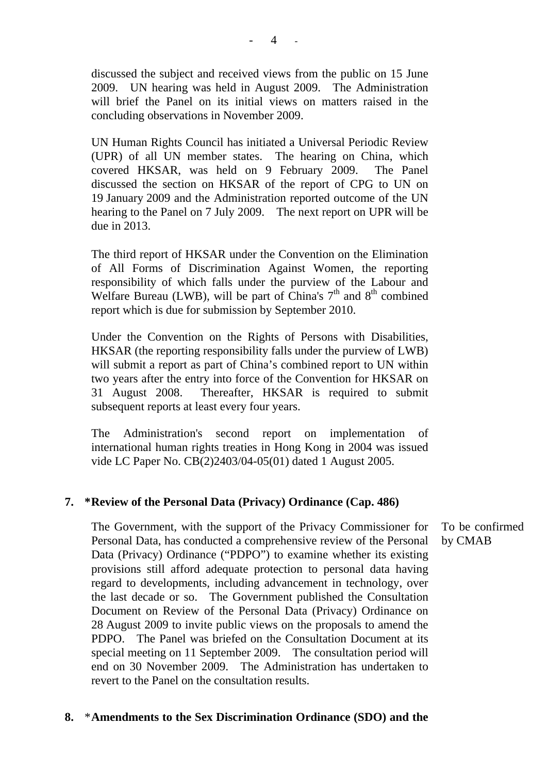discussed the subject and received views from the public on 15 June 2009. UN hearing was held in August 2009. The Administration will brief the Panel on its initial views on matters raised in the concluding observations in November 2009.

UN Human Rights Council has initiated a Universal Periodic Review (UPR) of all UN member states. The hearing on China, which covered HKSAR, was held on 9 February 2009. The Panel discussed the section on HKSAR of the report of CPG to UN on 19 January 2009 and the Administration reported outcome of the UN hearing to the Panel on 7 July 2009. The next report on UPR will be due in 2013.

The third report of HKSAR under the Convention on the Elimination of All Forms of Discrimination Against Women, the reporting responsibility of which falls under the purview of the Labour and Welfare Bureau (LWB), will be part of China's  $7<sup>th</sup>$  and  $8<sup>th</sup>$  combined report which is due for submission by September 2010.

Under the Convention on the Rights of Persons with Disabilities, HKSAR (the reporting responsibility falls under the purview of LWB) will submit a report as part of China's combined report to UN within two years after the entry into force of the Convention for HKSAR on 31 August 2008. Thereafter, HKSAR is required to submit subsequent reports at least every four years.

The Administration's second report on implementation of international human rights treaties in Hong Kong in 2004 was issued vide LC Paper No. CB(2)2403/04-05(01) dated 1 August 2005.

### **7. \* Review of the Personal Data (Privacy) Ordinance (Cap. 486)**

The Government, with the support of the Privacy Commissioner for Personal Data, has conducted a comprehensive review of the Personal Data (Privacy) Ordinance ("PDPO") to examine whether its existing provisions still afford adequate protection to personal data having regard to developments, including advancement in technology, over the last decade or so. The Government published the Consultation Document on Review of the Personal Data (Privacy) Ordinance on 28 August 2009 to invite public views on the proposals to amend the PDPO. The Panel was briefed on the Consultation Document at its special meeting on 11 September 2009. The consultation period will end on 30 November 2009. The Administration has undertaken to revert to the Panel on the consultation results.

### **8.** \* **Amendments to the Sex Discrimination Ordinance (SDO) and the**

To be confirmed by CMAB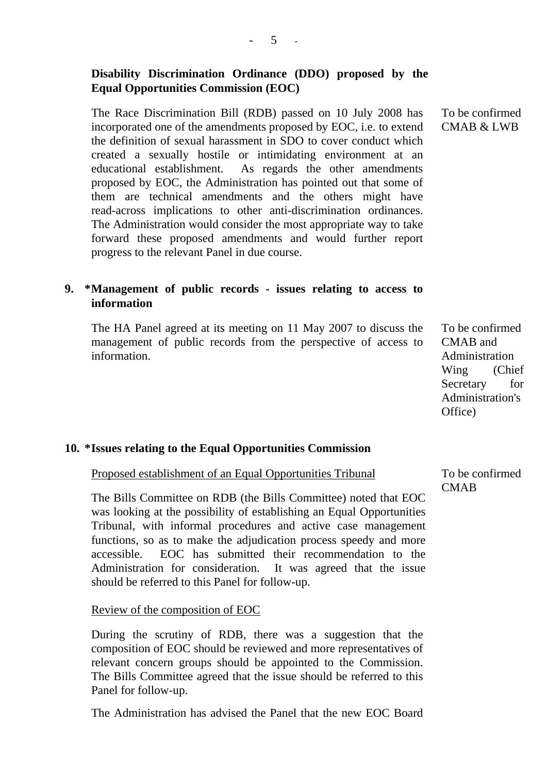## **Disability Discrimination Ordinance (DDO) proposed by the Equal Opportunities Commission (EOC)**

The Race Discrimination Bill (RDB) passed on 10 July 2008 has incorporated one of the amendments proposed by EOC, i.e. to extend the definition of sexual harassment in SDO to cover conduct which created a sexually hostile or intimidating environment at an educational establishment. As regards the other amendments proposed by EOC, the Administration has pointed out that some of them are technical amendments and the others might have read-across implications to other anti-discrimination ordinances. The Administration would consider the most appropriate way to take forward these proposed amendments and would further report progress to the relevant Panel in due course.

### **9. \* Management of public records - issues relating to access to information**

The HA Panel agreed at its meeting on 11 May 2007 to discuss the management of public records from the perspective of access to information.

To be confirmed CMAB and Administration Wing (Chief Secretary for Administration's Office)

### **10. \* Issues relating to the Equal Opportunities Commission**

Proposed establishment of an Equal Opportunities Tribunal

The Bills Committee on RDB (the Bills Committee) noted that EOC was looking at the possibility of establishing an Equal Opportunities Tribunal, with informal procedures and active case management functions, so as to make the adjudication process speedy and more accessible. EOC has submitted their recommendation to the Administration for consideration. It was agreed that the issue should be referred to this Panel for follow-up.

#### Review of the composition of EOC

During the scrutiny of RDB, there was a suggestion that the composition of EOC should be reviewed and more representatives of relevant concern groups should be appointed to the Commission. The Bills Committee agreed that the issue should be referred to this Panel for follow-up.

The Administration has advised the Panel that the new EOC Board

To be confirmed **CMAB** 

To be confirmed CMAB & LWB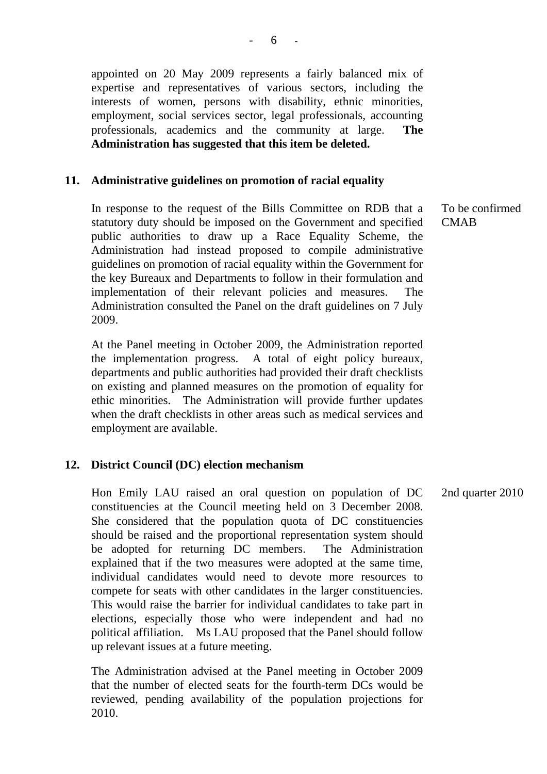appointed on 20 May 2009 represents a fairly balanced mix of expertise and representatives of various sectors, including the interests of women, persons with disability, ethnic minorities, employment, social services sector, legal professionals, accounting professionals, academics and the community at large. **The Administration has suggested that this item be deleted.**

#### **11. Administrative guidelines on promotion of racial equality**

In response to the request of the Bills Committee on RDB that a statutory duty should be imposed on the Government and specified public authorities to draw up a Race Equality Scheme, the Administration had instead proposed to compile administrative guidelines on promotion of racial equality within the Government for the key Bureaux and Departments to follow in their formulation and implementation of their relevant policies and measures. The Administration consulted the Panel on the draft guidelines on 7 July 2009.

At the Panel meeting in October 2009, the Administration reported the implementation progress. A total of eight policy bureaux, departments and public authorities had provided their draft checklists on existing and planned measures on the promotion of equality for ethic minorities. The Administration will provide further updates when the draft checklists in other areas such as medical services and employment are available.

### **12. District Council (DC) election mechanism**

Hon Emily LAU raised an oral question on population of DC constituencies at the Council meeting held on 3 December 2008. She considered that the population quota of DC constituencies should be raised and the proportional representation system should be adopted for returning DC members. The Administration explained that if the two measures were adopted at the same time, individual candidates would need to devote more resources to compete for seats with other candidates in the larger constituencies. This would raise the barrier for individual candidates to take part in elections, especially those who were independent and had no political affiliation. Ms LAU proposed that the Panel should follow up relevant issues at a future meeting. 2nd quarter 2010

The Administration advised at the Panel meeting in October 2009 that the number of elected seats for the fourth-term DCs would be reviewed, pending availability of the population projections for 2010.

To be confirmed **CMAB**